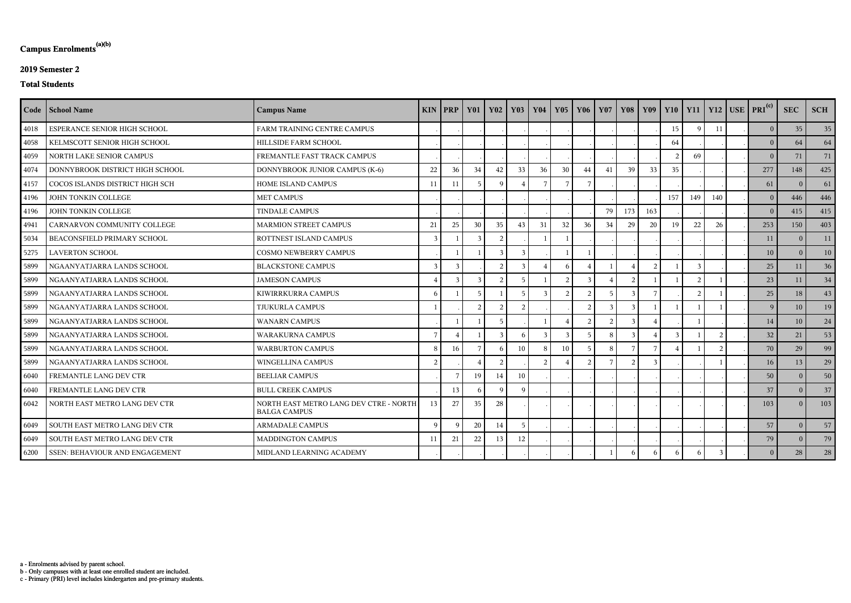c - Primary (PRI) level includes kindergarten and pre-primary students.

b - Only campuses with at least one enrolled student are included.

a - Enrolments advised by parent school.

# **Campus Enrolments(a)(b)**

### **2019 Semester 2**

#### **Total Students**

|      | Code   School Name                    | <b>Campus Name</b>                                            | KIN            | PRP           | <b>Y01</b>    | <b>Y02</b>     | $\vert$ Y <sub>03</sub> | <b>Y04</b>      | $Y05$   $Y06$  |                | <b>Y07</b>   |               |               |               |             |               | Y08   Y09   Y10   Y11   Y12   USE   PRI <sup>(c)</sup> | <b>SEC</b>     | <b>SCH</b> |
|------|---------------------------------------|---------------------------------------------------------------|----------------|---------------|---------------|----------------|-------------------------|-----------------|----------------|----------------|--------------|---------------|---------------|---------------|-------------|---------------|--------------------------------------------------------|----------------|------------|
| 4018 | ESPERANCE SENIOR HIGH SCHOOL          | FARM TRAINING CENTRE CAMPUS                                   |                |               |               |                |                         |                 |                |                |              |               |               | 15            | $\mathbf Q$ | 11            | 0 <sup>1</sup>                                         | 35             | 35         |
| 4058 | KELMSCOTT SENIOR HIGH SCHOOL          | HILLSIDE FARM SCHOOL                                          |                |               |               |                |                         |                 |                |                |              |               |               | 64            |             |               | 0 <sup>1</sup>                                         | 64             | 64         |
| 4059 | NORTH LAKE SENIOR CAMPUS              | FREMANTLE FAST TRACK CAMPUS                                   |                |               |               |                |                         |                 |                |                |              |               |               | $\mathcal{L}$ | 69          |               | 0 <sup>1</sup>                                         | 71             | 71         |
| 4074 | DONNYBROOK DISTRICT HIGH SCHOOL       | DONNYBROOK JUNIOR CAMPUS (K-6)                                | 22             | 36            | 34            | 42             | 33                      | 36              | 30             | 44             | 41           | 39            | 33            | 35            |             |               | 277                                                    | 148            | 425        |
| 4157 | COCOS ISLANDS DISTRICT HIGH SCH       | HOME ISLAND CAMPUS                                            | 11             | 11            |               | $\mathbf Q$    | $\overline{4}$          | $7\phantom{.0}$ |                |                |              |               |               |               |             |               | 61                                                     | $\Omega$       | 61         |
| 4196 | JOHN TONKIN COLLEGE                   | <b>MET CAMPUS</b>                                             |                |               |               |                |                         |                 |                |                |              |               |               | 157           | 149         | 140           | 0 <sup>1</sup>                                         | 446            | 446        |
| 4196 | JOHN TONKIN COLLEGE                   | <b>TINDALE CAMPUS</b>                                         |                |               |               |                |                         |                 |                |                | 79           | 173           | 163           |               |             |               | $\overline{0}$                                         | 415            | 415        |
| 4941 | CARNARVON COMMUNITY COLLEGE           | <b>MARMION STREET CAMPUS</b>                                  | 21             | 25            | 30            | 35             | 43                      | 31              | 32             | 36             | 34           | 29            | 20            | 19            | 22          | 26            | 253                                                    | 150            | 403        |
| 5034 | BEACONSFIELD PRIMARY SCHOOL           | ROTTNEST ISLAND CAMPUS                                        | $\overline{3}$ |               | $\mathcal{E}$ | 2              |                         |                 |                |                |              |               |               |               |             |               | 11                                                     | $\overline{0}$ | 11         |
| 5275 | <b>LAVERTON SCHOOL</b>                | <b>COSMO NEWBERRY CAMPUS</b>                                  |                |               |               | $\mathcal{R}$  | $\mathcal{R}$           |                 |                |                |              |               |               |               |             |               | 10                                                     | $\Omega$       | 10         |
| 5899 | NGAANYATJARRA LANDS SCHOOL            | <b>BLACKSTONE CAMPUS</b>                                      | 3              | $\mathbf{3}$  |               | $\mathcal{D}$  | $\mathcal{E}$           | $\overline{A}$  | 6              |                |              |               | $\mathcal{D}$ |               |             |               | 25                                                     | 11             | 36         |
| 5899 | NGAANYATJARRA LANDS SCHOOL            | <b>JAMESON CAMPUS</b>                                         | $\overline{4}$ | $\mathcal{E}$ |               | $\overline{2}$ |                         |                 | $\overline{2}$ |                |              |               |               |               |             |               | 23                                                     | 11             | 34         |
| 5899 | NGAANYATJARRA LANDS SCHOOL            | KIWIRRKURRA CAMPUS                                            | -6             |               |               |                |                         | 3               |                |                |              |               |               |               |             |               | 25                                                     | 18             | 43         |
| 5899 | NGAANYATJARRA LANDS SCHOOL            | <b>TJUKURLA CAMPUS</b>                                        |                |               | $\mathcal{D}$ | $\bigcirc$     | $\gamma$                |                 |                | $\mathcal{D}$  | $\mathbf{3}$ | $\mathbf{R}$  |               |               |             |               | $\vert 9 \vert$                                        | 10             | 19         |
| 5899 | NGAANYATJARRA LANDS SCHOOL            | <b>WANARN CAMPUS</b>                                          |                |               |               |                |                         |                 |                |                |              | $\mathcal{R}$ |               |               |             |               | 14                                                     | 10             | 24         |
| 5899 | NGAANYATJARRA LANDS SCHOOL            | <b>WARAKURNA CAMPUS</b>                                       | 7              |               |               | $\mathcal{R}$  | - რ                     | -3              | 3              | -5             | 8            | -3            |               |               |             |               | 32                                                     | 21             | 53         |
| 5899 | NGAANYATJARRA LANDS SCHOOL            | <b>WARBURTON CAMPUS</b>                                       | 8              | 16            |               | -6             | 10                      | 8               | 10             | 5              | 8            |               |               |               |             | $\mathcal{L}$ | 70                                                     | 29             | 99         |
| 5899 | NGAANYATJARRA LANDS SCHOOL            | WINGELLINA CAMPUS                                             | 2              |               |               | $\overline{2}$ |                         | $\overline{2}$  |                | $\overline{2}$ |              | $\mathcal{D}$ |               |               |             |               | 16                                                     | 13             | 29         |
| 6040 | FREMANTLE LANG DEV CTR                | <b>BEELIAR CAMPUS</b>                                         |                |               | 19            | 14             | 10                      |                 |                |                |              |               |               |               |             |               | 50                                                     | $\Omega$       | 50         |
| 6040 | FREMANTLE LANG DEV CTR                | <b>BULL CREEK CAMPUS</b>                                      |                | 13            |               | $\Omega$       | $\Omega$                |                 |                |                |              |               |               |               |             |               | 37                                                     | $\Omega$       | 37         |
| 6042 | NORTH EAST METRO LANG DEV CTR         | NORTH EAST METRO LANG DEV CTRE - NORTH<br><b>BALGA CAMPUS</b> | 13             | 27            | 35            | 28             |                         |                 |                |                |              |               |               |               |             |               | 103                                                    | $\theta$       | 103        |
| 6049 | SOUTH EAST METRO LANG DEV CTR         | <b>ARMADALE CAMPUS</b>                                        | $\mathbf Q$    | $\Omega$      | 20            | 14             | -5                      |                 |                |                |              |               |               |               |             |               | 57                                                     | $\theta$       | 57         |
| 6049 | SOUTH EAST METRO LANG DEV CTR         | <b>MADDINGTON CAMPUS</b>                                      | 11             | 21            | $22\,$        | 13             | 12                      |                 |                |                |              |               |               |               |             |               | 79                                                     | $\Omega$       | 79         |
| 6200 | <b>SSEN: BEHAVIOUR AND ENGAGEMENT</b> | MIDLAND LEARNING ACADEMY                                      |                |               |               |                |                         |                 |                |                |              |               |               |               |             |               | 0                                                      | 28             | 28         |